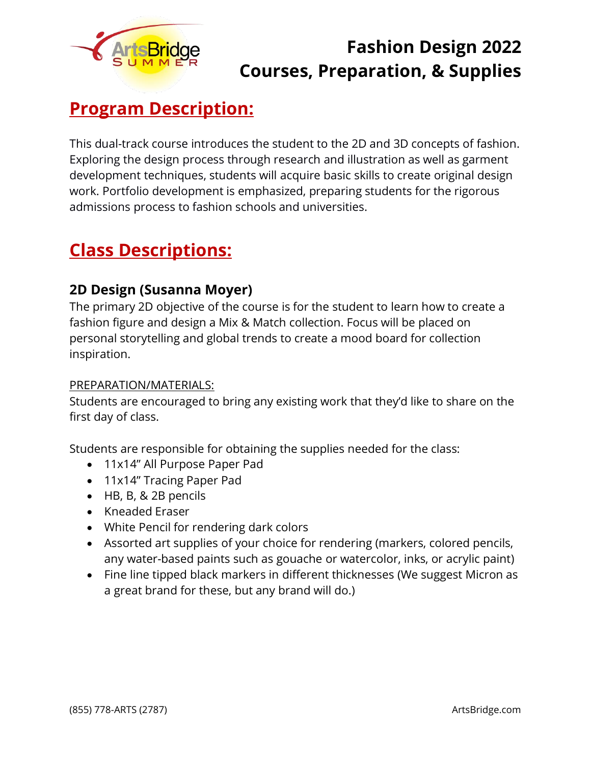

## **Fashion Design 2022 Courses, Preparation, & Supplies**

# **Program Description:**

This dual-track course introduces the student to the 2D and 3D concepts of fashion. Exploring the design process through research and illustration as well as garment development techniques, students will acquire basic skills to create original design work. Portfolio development is emphasized, preparing students for the rigorous admissions process to fashion schools and universities.

### **Class Descriptions:**

### **2D Design (Susanna Moyer)**

The primary 2D objective of the course is for the student to learn how to create a fashion figure and design a Mix & Match collection. Focus will be placed on personal storytelling and global trends to create a mood board for collection inspiration.

#### PREPARATION/MATERIALS:

Students are encouraged to bring any existing work that they'd like to share on the first day of class.

Students are responsible for obtaining the supplies needed for the class:

- 11x14" All Purpose Paper Pad
- 11x14" Tracing Paper Pad
- HB, B, & 2B pencils
- Kneaded Eraser
- White Pencil for rendering dark colors
- Assorted art supplies of your choice for rendering (markers, colored pencils, any water-based paints such as gouache or watercolor, inks, or acrylic paint)
- Fine line tipped black markers in different thicknesses (We suggest Micron as a great brand for these, but any brand will do.)